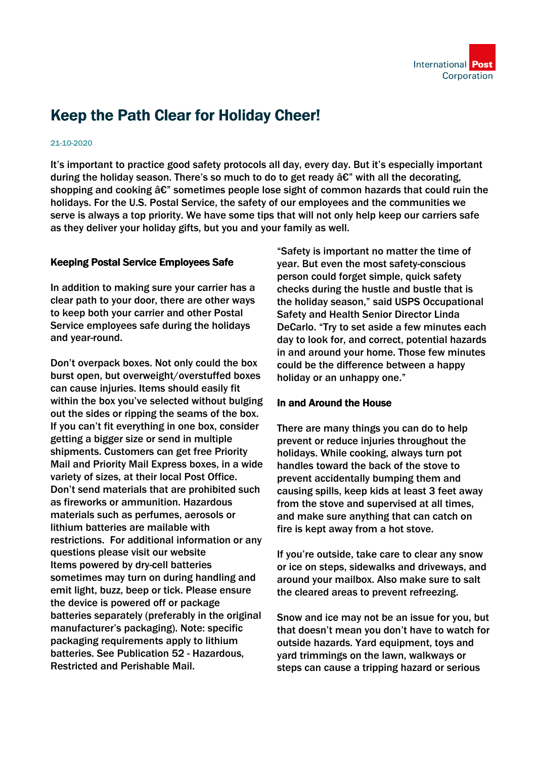

# Keep the Path Clear for Holiday Cheer!

#### 21-10-2020

It's important to practice good safety protocols all day, every day. But it's especially important during the holiday season. There's so much to do to get ready  $\hat{a}\hat{\epsilon}$ " with all the decorating, shopping and cooking  $\hat{a}\hat{\epsilon}$ " sometimes people lose sight of common hazards that could ruin the holidays. For the U.S. Postal Service, the safety of our employees and the communities we serve is always a top priority. We have some tips that will not only help keep our carriers safe as they deliver your holiday gifts, but you and your family as well.

## Keeping Postal Service Employees Safe

In addition to making sure your carrier has a clear path to your door, there are other ways to keep both your carrier and other Postal Service employees safe during the holidays and year-round.

Don't overpack boxes. Not only could the box burst open, but overweight/overstuffed boxes can cause injuries. Items should easily fit within the box you've selected without bulging out the sides or ripping the seams of the box. If you can't fit everything in one box, consider getting a bigger size or send in multiple shipments. Customers can get free Priority Mail and Priority Mail Express boxes, in a wide variety of sizes, at their local Post Office. Don't send materials that are prohibited such as fireworks or ammunition. Hazardous materials such as perfumes, aerosols or lithium batteries are mailable with restrictions. For additional information or any questions please visit our website Items powered by dry-cell batteries sometimes may turn on during handling and emit light, buzz, beep or tick. Please ensure the device is powered off or package batteries separately (preferably in the original manufacturer's packaging). Note: specific packaging requirements apply to lithium batteries. See Publication 52 - Hazardous, Restricted and Perishable Mail.

"Safety is important no matter the time of year. But even the most safety-conscious person could forget simple, quick safety checks during the hustle and bustle that is the holiday season," said USPS Occupational Safety and Health Senior Director Linda DeCarlo. "Try to set aside a few minutes each day to look for, and correct, potential hazards in and around your home. Those few minutes could be the difference between a happy holiday or an unhappy one."

### In and Around the House

There are many things you can do to help prevent or reduce injuries throughout the holidays. While cooking, always turn pot handles toward the back of the stove to prevent accidentally bumping them and causing spills, keep kids at least 3 feet away from the stove and supervised at all times, and make sure anything that can catch on fire is kept away from a hot stove.

If you're outside, take care to clear any snow or ice on steps, sidewalks and driveways, and around your mailbox. Also make sure to salt the cleared areas to prevent refreezing.

Snow and ice may not be an issue for you, but that doesn't mean you don't have to watch for outside hazards. Yard equipment, toys and yard trimmings on the lawn, walkways or steps can cause a tripping hazard or serious